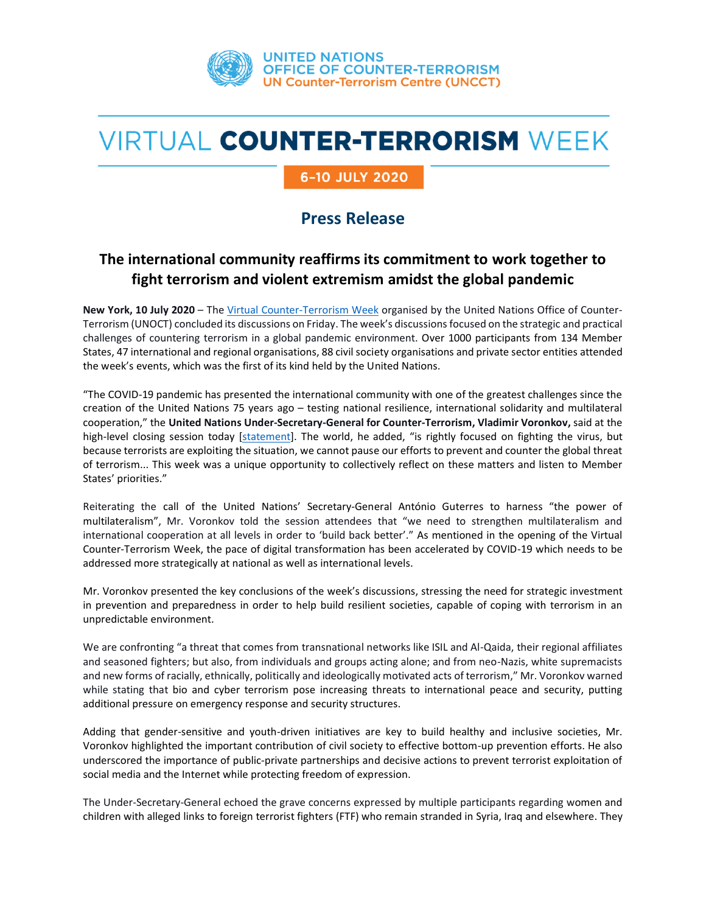

# **VIRTUAL COUNTER-TERRORISM WEEK**

### 6-10 JULY 2020

## **Press Release**

## **The international community reaffirms its commitment to work together to fight terrorism and violent extremism amidst the global pandemic**

**New York, 10 July 2020** – The [Virtual Counter-Terrorism Week](https://www.un.org/counterterrorism/2020-counter-terrorism-week) organised by the United Nations Office of Counter-Terrorism (UNOCT) concluded its discussions on Friday. The week's discussionsfocused on the strategic and practical challenges of countering terrorism in a global pandemic environment. Over 1000 participants from 134 Member States, 47 international and regional organisations, 88 civil society organisations and private sector entities attended the week's events, which was the first of its kind held by the United Nations.

"The COVID-19 pandemic has presented the international community with one of the greatest challenges since the creation of the United Nations 75 years ago – testing national resilience, international solidarity and multilateral cooperation," the **United Nations Under-Secretary-General for Counter-Terrorism, Vladimir Voronkov,** said at the high-level closing session today [\[statement\]](https://www.un.org/counterterrorism/sites/www.un.org.counterterrorism/files/200710_usg_vctwk_closing_remarks.pdf). The world, he added, "is rightly focused on fighting the virus, but because terrorists are exploiting the situation, we cannot pause our efforts to prevent and counter the global threat of terrorism... This week was a unique opportunity to collectively reflect on these matters and listen to Member States' priorities."

Reiterating the call of the United Nations' Secretary-General António Guterres to harness "the power of multilateralism", Mr. Voronkov told the session attendees that "we need to strengthen multilateralism and international cooperation at all levels in order to 'build back better'." As mentioned in the opening of the Virtual Counter-Terrorism Week, the pace of digital transformation has been accelerated by COVID-19 which needs to be addressed more strategically at national as well as international levels.

Mr. Voronkov presented the key conclusions of the week's discussions, stressing the need for strategic investment in prevention and preparedness in order to help build resilient societies, capable of coping with terrorism in an unpredictable environment.

We are confronting "a threat that comes from transnational networks like ISIL and Al-Qaida, their regional affiliates and seasoned fighters; but also, from individuals and groups acting alone; and from neo-Nazis, white supremacists and new forms of racially, ethnically, politically and ideologically motivated acts of terrorism," Mr. Voronkov warned while stating that bio and cyber terrorism pose increasing threats to international peace and security, putting additional pressure on emergency response and security structures.

Adding that gender-sensitive and youth-driven initiatives are key to build healthy and inclusive societies, Mr. Voronkov highlighted the important contribution of civil society to effective bottom-up prevention efforts. He also underscored the importance of public-private partnerships and decisive actions to prevent terrorist exploitation of social media and the Internet while protecting freedom of expression.

The Under-Secretary-General echoed the grave concerns expressed by multiple participants regarding women and children with alleged links to foreign terrorist fighters (FTF) who remain stranded in Syria, Iraq and elsewhere. They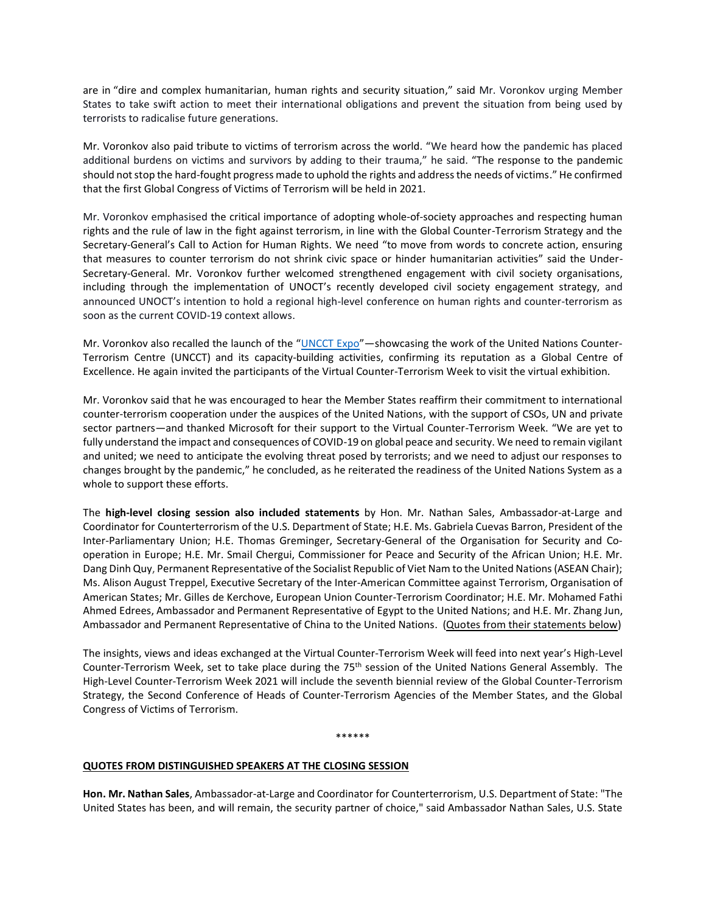are in "dire and complex humanitarian, human rights and security situation," said Mr. Voronkov urging Member States to take swift action to meet their international obligations and prevent the situation from being used by terrorists to radicalise future generations.

Mr. Voronkov also paid tribute to victims of terrorism across the world. "We heard how the pandemic has placed additional burdens on victims and survivors by adding to their trauma," he said. "The response to the pandemic should not stop the hard-fought progress made to uphold the rights and address the needs of victims." He confirmed that the first Global Congress of Victims of Terrorism will be held in 2021.

Mr. Voronkov emphasised the critical importance of adopting whole-of-society approaches and respecting human rights and the rule of law in the fight against terrorism, in line with the Global Counter-Terrorism Strategy and the Secretary-General's Call to Action for Human Rights. We need "to move from words to concrete action, ensuring that measures to counter terrorism do not shrink civic space or hinder humanitarian activities" said the Under-Secretary-General. Mr. Voronkov further welcomed strengthened engagement with civil society organisations, including through the implementation of UNOCT's recently developed civil society engagement strategy, and announced UNOCT's intention to hold a regional high-level conference on human rights and counter-terrorism as soon as the current COVID-19 context allows.

Mr. Voronkov also recalled the launch of the "[UNCCT Expo](https://www.un.org/counter-terrorism-expo/)"—showcasing the work of the United Nations Counter-Terrorism Centre (UNCCT) and its capacity-building activities, confirming its reputation as a Global Centre of Excellence. He again invited the participants of the Virtual Counter-Terrorism Week to visit the virtual exhibition.

Mr. Voronkov said that he was encouraged to hear the Member States reaffirm their commitment to international counter-terrorism cooperation under the auspices of the United Nations, with the support of CSOs, UN and private sector partners—and thanked Microsoft for their support to the Virtual Counter-Terrorism Week. "We are yet to fully understand the impact and consequences of COVID-19 on global peace and security. We need to remain vigilant and united; we need to anticipate the evolving threat posed by terrorists; and we need to adjust our responses to changes brought by the pandemic," he concluded, as he reiterated the readiness of the United Nations System as a whole to support these efforts.

The **high-level closing session also included statements** by Hon. Mr. Nathan Sales, Ambassador-at-Large and Coordinator for Counterterrorism of the U.S. Department of State; H.E. Ms. Gabriela Cuevas Barron, President of the Inter-Parliamentary Union; H.E. Thomas Greminger, Secretary-General of the Organisation for Security and Cooperation in Europe; H.E. Mr. Smail Chergui, Commissioner for Peace and Security of the African Union; H.E. Mr. Dang Dinh Quy, Permanent Representative of the Socialist Republic of Viet Nam to the United Nations (ASEAN Chair); Ms. Alison August Treppel, Executive Secretary of the Inter-American Committee against Terrorism, Organisation of American States; Mr. Gilles de Kerchove, European Union Counter-Terrorism Coordinator; H.E. Mr. Mohamed Fathi Ahmed Edrees, Ambassador and Permanent Representative of Egypt to the United Nations; and H.E. Mr. Zhang Jun, Ambassador and Permanent Representative of China to the United Nations. (Quotes from their statements below)

The insights, views and ideas exchanged at the Virtual Counter-Terrorism Week will feed into next year's High-Level Counter-Terrorism Week, set to take place during the 75th session of the United Nations General Assembly. The High-Level Counter-Terrorism Week 2021 will include the seventh biennial review of the Global Counter-Terrorism Strategy, the Second Conference of Heads of Counter-Terrorism Agencies of the Member States, and the Global Congress of Victims of Terrorism.

#### \*\*\*\*\*\*

#### **QUOTES FROM DISTINGUISHED SPEAKERS AT THE CLOSING SESSION**

**Hon. Mr. Nathan Sales**, Ambassador-at-Large and Coordinator for Counterterrorism, U.S. Department of State: "The United States has been, and will remain, the security partner of choice," said Ambassador Nathan Sales, U.S. State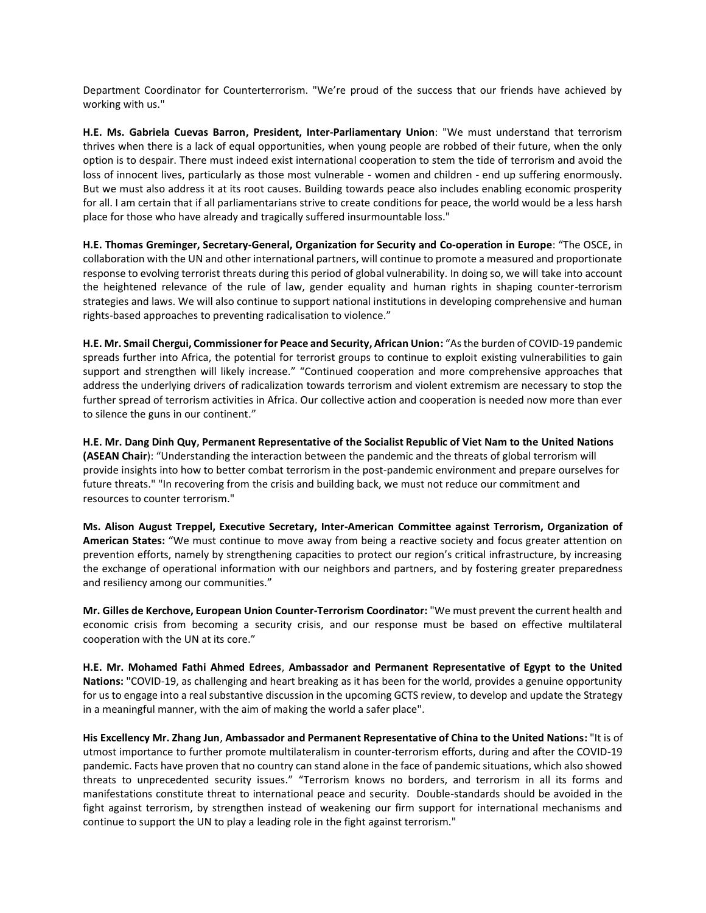Department Coordinator for Counterterrorism. "We're proud of the success that our friends have achieved by working with us."

**H.E. Ms. Gabriela Cuevas Barron, President, Inter-Parliamentary Union**: "We must understand that terrorism thrives when there is a lack of equal opportunities, when young people are robbed of their future, when the only option is to despair. There must indeed exist international cooperation to stem the tide of terrorism and avoid the loss of innocent lives, particularly as those most vulnerable - women and children - end up suffering enormously. But we must also address it at its root causes. Building towards peace also includes enabling economic prosperity for all. I am certain that if all parliamentarians strive to create conditions for peace, the world would be a less harsh place for those who have already and tragically suffered insurmountable loss."

**H.E. Thomas Greminger, Secretary-General, Organization for Security and Co-operation in Europe**: "The OSCE, in collaboration with the UN and other international partners, will continue to promote a measured and proportionate response to evolving terrorist threats during this period of global vulnerability. In doing so, we will take into account the heightened relevance of the rule of law, gender equality and human rights in shaping counter-terrorism strategies and laws. We will also continue to support national institutions in developing comprehensive and human rights-based approaches to preventing radicalisation to violence."

**H.E. Mr. Smail Chergui, Commissioner for Peace and Security, African Union:** "As the burden of COVID-19 pandemic spreads further into Africa, the potential for terrorist groups to continue to exploit existing vulnerabilities to gain support and strengthen will likely increase." "Continued cooperation and more comprehensive approaches that address the underlying drivers of radicalization towards terrorism and violent extremism are necessary to stop the further spread of terrorism activities in Africa. Our collective action and cooperation is needed now more than ever to silence the guns in our continent."

**H.E. Mr. Dang Dinh Quy, Permanent Representative of the Socialist Republic of Viet Nam to the United Nations (ASEAN Chair**): "Understanding the interaction between the pandemic and the threats of global terrorism will provide insights into how to better combat terrorism in the post-pandemic environment and prepare ourselves for future threats." "In recovering from the crisis and building back, we must not reduce our commitment and resources to counter terrorism."

**Ms. Alison August Treppel, Executive Secretary, Inter-American Committee against Terrorism, Organization of American States:** "We must continue to move away from being a reactive society and focus greater attention on prevention efforts, namely by strengthening capacities to protect our region's critical infrastructure, by increasing the exchange of operational information with our neighbors and partners, and by fostering greater preparedness and resiliency among our communities."

**Mr. Gilles de Kerchove, European Union Counter-Terrorism Coordinator:** "We must prevent the current health and economic crisis from becoming a security crisis, and our response must be based on effective multilateral cooperation with the UN at its core."

**H.E. Mr. Mohamed Fathi Ahmed Edrees**, **Ambassador and Permanent Representative of Egypt to the United Nations:** "COVID-19, as challenging and heart breaking as it has been for the world, provides a genuine opportunity for us to engage into a real substantive discussion in the upcoming GCTS review, to develop and update the Strategy in a meaningful manner, with the aim of making the world a safer place".

**His Excellency Mr. Zhang Jun**, **Ambassador and Permanent Representative of China to the United Nations:** "It is of utmost importance to further promote multilateralism in counter-terrorism efforts, during and after the COVID-19 pandemic. Facts have proven that no country can stand alone in the face of pandemic situations, which also showed threats to unprecedented security issues." "Terrorism knows no borders, and terrorism in all its forms and manifestations constitute threat to international peace and security. Double-standards should be avoided in the fight against terrorism, by strengthen instead of weakening our firm support for international mechanisms and continue to support the UN to play a leading role in the fight against terrorism."